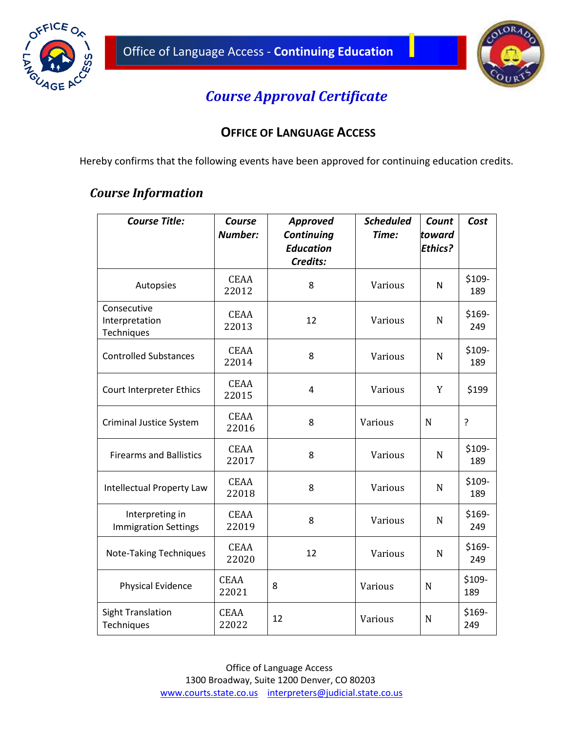



I

## *Course Approval Certificate*

## **OFFICE OF LANGUAGE ACCESS**

Hereby confirms that the following events have been approved for continuing education credits.

## *Course Information*

| <b>Course Title:</b>                           | Course<br><b>Number:</b> | <b>Approved</b><br>Continuing | <b>Scheduled</b><br>Time: | Count<br>toward | Cost          |
|------------------------------------------------|--------------------------|-------------------------------|---------------------------|-----------------|---------------|
|                                                |                          | <b>Education</b><br>Credits:  |                           | <b>Ethics?</b>  |               |
| Autopsies                                      | <b>CEAA</b><br>22012     | 8                             | Various                   | Ν               | \$109-<br>189 |
| Consecutive<br>Interpretation<br>Techniques    | <b>CEAA</b><br>22013     | 12                            | Various                   | N               | \$169-<br>249 |
| <b>Controlled Substances</b>                   | <b>CEAA</b><br>22014     | 8                             | Various                   | N               | \$109-<br>189 |
| Court Interpreter Ethics                       | <b>CEAA</b><br>22015     | 4                             | Various                   | Y               | \$199         |
| <b>Criminal Justice System</b>                 | <b>CEAA</b><br>22016     | 8                             | Various                   | N               | ŗ             |
| <b>Firearms and Ballistics</b>                 | <b>CEAA</b><br>22017     | 8                             | Various                   | N               | \$109-<br>189 |
| Intellectual Property Law                      | <b>CEAA</b><br>22018     | 8                             | Various                   | N               | \$109-<br>189 |
| Interpreting in<br><b>Immigration Settings</b> | <b>CEAA</b><br>22019     | 8                             | Various                   | N               | \$169-<br>249 |
| Note-Taking Techniques                         | <b>CEAA</b><br>22020     | 12                            | Various                   | N               | \$169-<br>249 |
| <b>Physical Evidence</b>                       | <b>CEAA</b><br>22021     | 8                             | Various                   | N               | \$109-<br>189 |
| <b>Sight Translation</b><br>Techniques         | <b>CEAA</b><br>22022     | 12                            | Various                   | N               | \$169-<br>249 |